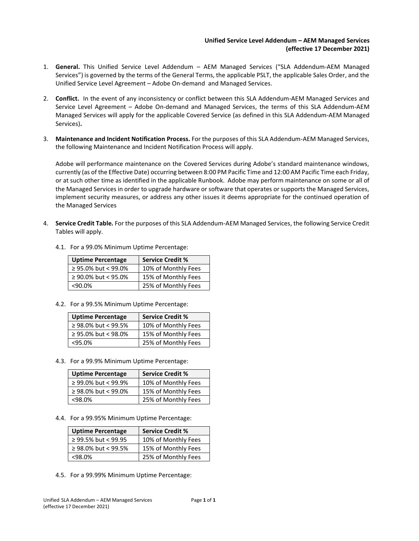## **Unified Service Level Addendum – AEM Managed Services (effective 17 December 2021)**

- 1. **General.** This Unified Service Level Addendum AEM Managed Services ("SLA Addendum-AEM Managed Services") is governed by the terms of the General Terms, the applicable PSLT, the applicable Sales Order, and the Unified Service Level Agreement – Adobe On-demand and Managed Services.
- 2. **Conflict.** In the event of any inconsistency or conflict between this SLA Addendum-AEM Managed Services and Service Level Agreement – Adobe On-demand and Managed Services, the terms of this SLA Addendum-AEM Managed Services will apply for the applicable Covered Service (as defined in this SLA Addendum-AEM Managed Services)**.**
- 3. **Maintenance and Incident Notification Process.** For the purposes of this SLA Addendum-AEM Managed Services, the following Maintenance and Incident Notification Process will apply.

Adobe will performance maintenance on the Covered Services during Adobe's standard maintenance windows, currently (as of the Effective Date) occurring between 8:00 PM Pacific Time and 12:00 AM Pacific Time each Friday, or at such other time as identified in the applicable Runbook. Adobe may perform maintenance on some or all of the Managed Services in order to upgrade hardware or software that operates or supports the Managed Services, implement security measures, or address any other issues it deems appropriate for the continued operation of the Managed Services

4. **Service Credit Table.** For the purposes of this SLA Addendum-AEM Managed Services, the following Service Credit Tables will apply.

| <b>Uptime Percentage</b> | <b>Service Credit %</b> |
|--------------------------|-------------------------|
| $\geq$ 95.0% but < 99.0% | 10% of Monthly Fees     |
| $\geq$ 90.0% but < 95.0% | 15% of Monthly Fees     |
| $< 90.0\%$               | 25% of Monthly Fees     |

- 4.1. For a 99.0% Minimum Uptime Percentage:
- 4.2. For a 99.5% Minimum Uptime Percentage:

| <b>Uptime Percentage</b> | <b>Service Credit %</b> |
|--------------------------|-------------------------|
| ≥ 98.0% but < 99.5%      | 10% of Monthly Fees     |
| $\geq$ 95.0% but < 98.0% | 15% of Monthly Fees     |
| $<$ 95.0%                | 25% of Monthly Fees     |

4.3. For a 99.9% Minimum Uptime Percentage:

| <b>Uptime Percentage</b> | <b>Service Credit %</b> |
|--------------------------|-------------------------|
| $\geq$ 99.0% but < 99.9% | 10% of Monthly Fees     |
| ≥ 98.0% but < 99.0%      | 15% of Monthly Fees     |
| $<98.0\%$                | 25% of Monthly Fees     |

4.4. For a 99.95% Minimum Uptime Percentage:

| <b>Uptime Percentage</b> | <b>Service Credit %</b> |
|--------------------------|-------------------------|
| $\geq$ 99.5% but < 99.95 | 10% of Monthly Fees     |
| ≥ 98.0% but < 99.5%      | 15% of Monthly Fees     |
| $<98.0\%$                | 25% of Monthly Fees     |

4.5. For a 99.99% Minimum Uptime Percentage: